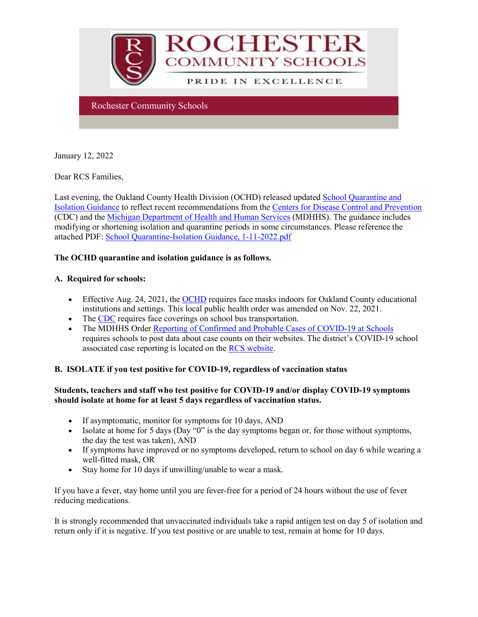

January 12, 2022

Dear RCS Families,

Last evening, the Oakland County Health Division (OCHD) released updated [School Quarantine and](http://track.spe.schoolmessenger.com/f/a/9NuKMy2KMQ_AgJWg8qYRcg%7E%7E/AAAAAQA%7E/RgRjwEe2P0RnaHR0cHM6Ly93d3cub2FrZ292LmNvbS9jb3ZpZC9yZXNvdXJjZXMvZWR1Y2F0aW9uL0RvY3VtZW50cy9TY2hvb2wlMjBRdWFyYW50aW5lLUlzb2xhdGlvbiUyMEd1aWRhbmNlLnBkZlcHc2Nob29sbUIKYd82FN9hCS4L0FIbc2FoZWFybkByb2NoZXN0ZXIuazEyLm1pLnVzWAQAAAAB)  [Isolation Guidance](http://track.spe.schoolmessenger.com/f/a/9NuKMy2KMQ_AgJWg8qYRcg%7E%7E/AAAAAQA%7E/RgRjwEe2P0RnaHR0cHM6Ly93d3cub2FrZ292LmNvbS9jb3ZpZC9yZXNvdXJjZXMvZWR1Y2F0aW9uL0RvY3VtZW50cy9TY2hvb2wlMjBRdWFyYW50aW5lLUlzb2xhdGlvbiUyMEd1aWRhbmNlLnBkZlcHc2Nob29sbUIKYd82FN9hCS4L0FIbc2FoZWFybkByb2NoZXN0ZXIuazEyLm1pLnVzWAQAAAAB) to reflect recent recommendations from the [Centers for Disease Control and Prevention](http://track.spe.schoolmessenger.com/f/a/1-6ZJRZCnZUUAJeHCCR4xw%7E%7E/AAAAAQA%7E/RgRjwEe2P0RcaHR0cHM6Ly93d3cuY2RjLmdvdi9jb3JvbmF2aXJ1cy8yMDE5LW5jb3YveW91ci1oZWFsdGgvcXVhcmFudGluZS1pc29sYXRpb24uaHRtbCNjbG9zZWNvbnRhY3RXB3NjaG9vbG1CCmHfNhTfYQkuC9BSG3NhaGVhcm5Acm9jaGVzdGVyLmsxMi5taS51c1gEAAAAAQ%7E%7E) (CDC) and the [Michigan Department of Health and Human Services](http://track.spe.schoolmessenger.com/f/a/LRMmQt7DymrCBLDem9Lmag%7E%7E/AAAAAQA%7E/RgRjwEe2P0S1aHR0cHM6Ly93d3cubWljaGlnYW4uZ292L2RvY3VtZW50cy9jb3JvbmF2aXJ1cy9NSV9TYWZlcl9TY2hvb2xzX0d1aWRhbmNlX2Zvcl9NYW5hZ2luZ19TdHVkZW50c19FeHBvc2VkX3RvX0NPVklELTE5XzczNDc1MF83LnBkZj91dG1fY2FtcGFpZ249JnV0bV9tZWRpdW09ZW1haWwmdXRtX3NvdXJjZT1nb3ZkZWxpdmVyeVcHc2Nob29sbUIKYd82FN9hCS4L0FIbc2FoZWFybkByb2NoZXN0ZXIuazEyLm1pLnVzWAQAAAAB) (MDHHS). The guidance includes modifying or shortening isolation and quarantine periods in some circumstances. Please reference the attached PDF: [School Quarantine-Isolation Guidance, 1-11-2022.pdf](http://track.spe.schoolmessenger.com/f/a/RCnzFadyM7jCUHQjBgfNbw%7E%7E/AAAAAQA%7E/RgRjwEe2P0R1aHR0cHM6Ly9tc2cuc2Nob29sbWVzc2VuZ2VyLmNvbS9tLz9zPUM4RjY3dlQ0elhzJm1hbD1hNDMzMDAwNWMwNGM3NDY4NWNhYTFhMTJlMDhhZTI2YjE4OGY3M2Q3ZjEyNTdkOTk0YzllN2E3YTZmZGZmMmQzVwdzY2hvb2xtQgph3zYU32EJLgvQUhtzYWhlYXJuQHJvY2hlc3Rlci5rMTIubWkudXNYBAAAAAE%7E)

## **The OCHD quarantine and isolation guidance is as follows.**

## **A. Required for schools:**

- Effective Aug. 24, 2021, the [OCHD](http://track.spe.schoolmessenger.com/f/a/i4MfR4wB2T3O1pmay5KWLw%7E%7E/AAAAAQA%7E/RgRjwEe2P0Q1aHR0cHM6Ly93d3cub2FrZ292LmNvbS9jb3ZpZC9QYWdlcy9IZWFsdGgtT3JkZXJzLmFzcHhXB3NjaG9vbG1CCmHfNhTfYQkuC9BSG3NhaGVhcm5Acm9jaGVzdGVyLmsxMi5taS51c1gEAAAAAQ%7E%7E) requires face masks indoors for Oakland County educational institutions and settings. This local public health order was amended on Nov. 22, 2021.
- The [CDC](http://track.spe.schoolmessenger.com/f/a/AAbTpTNcA_gCaxeleo0nag%7E%7E/AAAAAQA%7E/RgRjwEe2P0Q-aHR0cHM6Ly93d3cuY2RjLmdvdi9xdWFyYW50aW5lL21hc2tzL21hc2stdHJhdmVsLWd1aWRhbmNlLmh0bWxXB3NjaG9vbG1CCmHfNhTfYQkuC9BSG3NhaGVhcm5Acm9jaGVzdGVyLmsxMi5taS51c1gEAAAAAQ%7E%7E) requires face coverings on school bus transportation.
- The MDHHS Order [Reporting of Confirmed and Probable Cases of COVID-19 at Schools](http://track.spe.schoolmessenger.com/f/a/TDj7QjUM8t89xaO5kJoNXA%7E%7E/AAAAAQA%7E/RgRjwEe2P0ROaHR0cHM6Ly93d3cubWljaGlnYW4uZ292L2Nvcm9uYXZpcnVzLzAsOTc1Myw3LTQwNi05ODE3OF85ODQ1NS01NDE4NjAtLSwwMC5odG1sVwdzY2hvb2xtQgph3zYU32EJLgvQUhtzYWhlYXJuQHJvY2hlc3Rlci5rMTIubWkudXNYBAAAAAE%7E)
- requires schools to post data about case counts on their websites. The district's COVID-19 school associated case reporting is located on the [RCS website.](http://track.spe.schoolmessenger.com/f/a/V0Q-F54vU-HMzgrq6bLb3g%7E%7E/AAAAAQA%7E/RgRjwEe2P0Q7aHR0cHM6Ly93d3cucm9jaGVzdGVyLmsxMi5taS51cy9hY2FkZW1pY3MvY292aWQtMTktcmVzcG9uc2VXB3NjaG9vbG1CCmHfNhTfYQkuC9BSG3NhaGVhcm5Acm9jaGVzdGVyLmsxMi5taS51c1gEAAAAAQ%7E%7E)

# **B. ISOLATE if you test positive for COVID-19, regardless of vaccination status**

## **Students, teachers and staff who test positive for COVID-19 and/or display COVID-19 symptoms should isolate at home for at least 5 days regardless of vaccination status.**

- If asymptomatic, monitor for symptoms for 10 days, AND
- Isolate at home for 5 days (Day " $0$ " is the day symptoms began or, for those without symptoms, the day the test was taken), AND
- If symptoms have improved or no symptoms developed, return to school on day 6 while wearing a well-fitted mask, OR
- Stay home for 10 days if unwilling/unable to wear a mask.

If you have a fever, stay home until you are fever-free for a period of 24 hours without the use of fever reducing medications.

It is strongly recommended that unvaccinated individuals take a rapid antigen test on day 5 of isolation and return only if it is negative. If you test positive or are unable to test, remain at home for 10 days.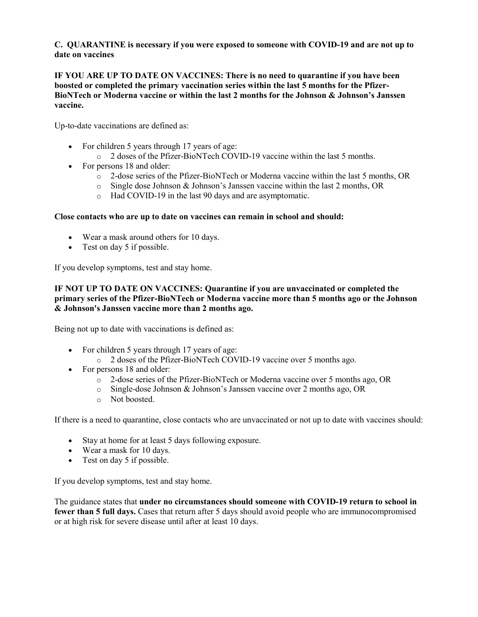**C. QUARANTINE is necessary if you were exposed to someone with COVID-19 and are not up to date on vaccines**

**IF YOU ARE UP TO DATE ON VACCINES: There is no need to quarantine if you have been boosted or completed the primary vaccination series within the last 5 months for the Pfizer-BioNTech or Moderna vaccine or within the last 2 months for the Johnson & Johnson's Janssen vaccine.** 

Up-to-date vaccinations are defined as:

- For children 5 years through 17 years of age:
	- o 2 doses of the Pfizer-BioNTech COVID-19 vaccine within the last 5 months.
- For persons 18 and older:
	- o 2-dose series of the Pfizer-BioNTech or Moderna vaccine within the last 5 months, OR
	- o Single dose Johnson & Johnson's Janssen vaccine within the last 2 months, OR
	- o Had COVID-19 in the last 90 days and are asymptomatic.

#### **Close contacts who are up to date on vaccines can remain in school and should:**

- Wear a mask around others for 10 days.
- Test on day 5 if possible.

If you develop symptoms, test and stay home.

#### **IF NOT UP TO DATE ON VACCINES: Quarantine if you are unvaccinated or completed the primary series of the Pfizer-BioNTech or Moderna vaccine more than 5 months ago or the Johnson & Johnson's Janssen vaccine more than 2 months ago.**

Being not up to date with vaccinations is defined as:

- For children 5 years through 17 years of age:
	- o 2 doses of the Pfizer-BioNTech COVID-19 vaccine over 5 months ago.
- For persons 18 and older:
	- o 2-dose series of the Pfizer-BioNTech or Moderna vaccine over 5 months ago, OR
	- o Single-dose Johnson & Johnson's Janssen vaccine over 2 months ago, OR
	- o Not boosted.

If there is a need to quarantine, close contacts who are unvaccinated or not up to date with vaccines should:

- Stay at home for at least 5 days following exposure.
- Wear a mask for 10 days.
- Test on day 5 if possible.

If you develop symptoms, test and stay home.

The guidance states that **under no circumstances should someone with COVID-19 return to school in fewer than 5 full days.** Cases that return after 5 days should avoid people who are immunocompromised or at high risk for severe disease until after at least 10 days.